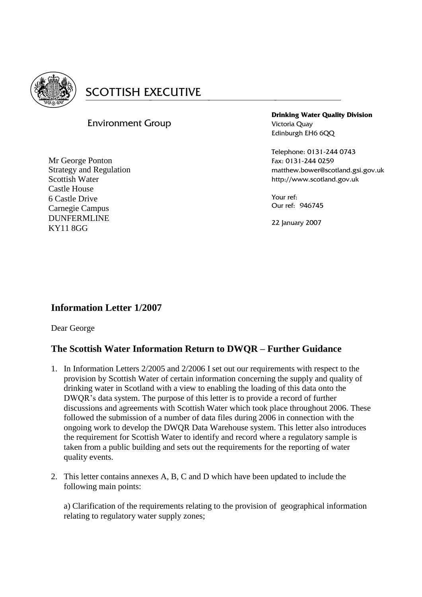

# **SCOTTISH EXECUTIVE**

# Environment Group

Mr George Ponton Strategy and Regulation Scottish Water Castle House 6 Castle Drive Carnegie Campus DUNFERMLINE KY11 8GG

**Drinking Water Quality Division** Victoria Quay Edinburgh EH6 6QQ

Telephone: 0131-244 0743 Fax: 0131-244 0259 matthew.bower@scotland.gsi.gov.uk http://www.scotland.gov.uk

Your ref: Our ref: 946745

22 January 2007

# **Information Letter 1/2007**

Dear George

## **The Scottish Water Information Return to DWQR – Further Guidance**

- 1. In Information Letters 2/2005 and 2/2006 I set out our requirements with respect to the provision by Scottish Water of certain information concerning the supply and quality of drinking water in Scotland with a view to enabling the loading of this data onto the DWQR's data system. The purpose of this letter is to provide a record of further discussions and agreements with Scottish Water which took place throughout 2006. These followed the submission of a number of data files during 2006 in connection with the ongoing work to develop the DWQR Data Warehouse system. This letter also introduces the requirement for Scottish Water to identify and record where a regulatory sample is taken from a public building and sets out the requirements for the reporting of water quality events.
- 2. This letter contains annexes A, B, C and D which have been updated to include the following main points:

a) Clarification of the requirements relating to the provision of geographical information relating to regulatory water supply zones;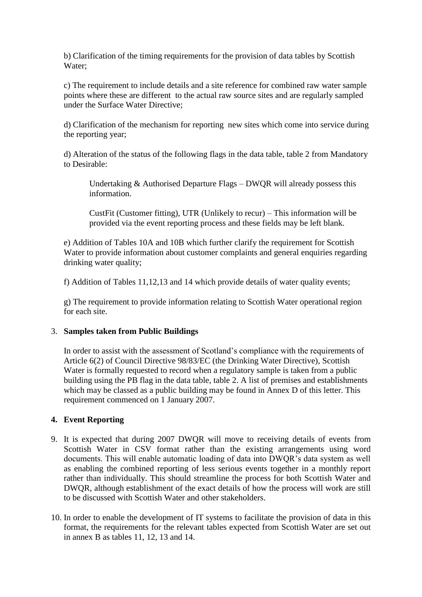b) Clarification of the timing requirements for the provision of data tables by Scottish Water;

c) The requirement to include details and a site reference for combined raw water sample points where these are different to the actual raw source sites and are regularly sampled under the Surface Water Directive;

d) Clarification of the mechanism for reporting new sites which come into service during the reporting year;

d) Alteration of the status of the following flags in the data table, table 2 from Mandatory to Desirable:

Undertaking & Authorised Departure Flags – DWQR will already possess this information.

CustFit (Customer fitting), UTR (Unlikely to recur) – This information will be provided via the event reporting process and these fields may be left blank.

e) Addition of Tables 10A and 10B which further clarify the requirement for Scottish Water to provide information about customer complaints and general enquiries regarding drinking water quality;

f) Addition of Tables 11,12,13 and 14 which provide details of water quality events;

g) The requirement to provide information relating to Scottish Water operational region for each site.

#### 3. **Samples taken from Public Buildings**

In order to assist with the assessment of Scotland's compliance with the requirements of Article 6(2) of Council Directive 98/83/EC (the Drinking Water Directive), Scottish Water is formally requested to record when a regulatory sample is taken from a public building using the PB flag in the data table, table 2. A list of premises and establishments which may be classed as a public building may be found in Annex D of this letter. This requirement commenced on 1 January 2007.

## **4. Event Reporting**

- 9. It is expected that during 2007 DWQR will move to receiving details of events from Scottish Water in CSV format rather than the existing arrangements using word documents. This will enable automatic loading of data into DWQR's data system as well as enabling the combined reporting of less serious events together in a monthly report rather than individually. This should streamline the process for both Scottish Water and DWQR, although establishment of the exact details of how the process will work are still to be discussed with Scottish Water and other stakeholders.
- 10. In order to enable the development of IT systems to facilitate the provision of data in this format, the requirements for the relevant tables expected from Scottish Water are set out in annex B as tables 11, 12, 13 and 14.